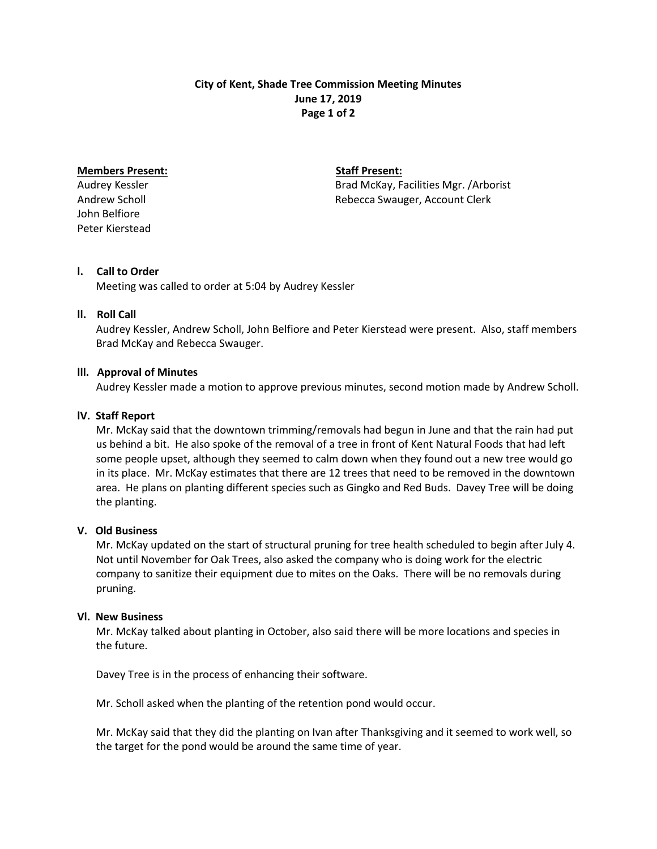## **City of Kent, Shade Tree Commission Meeting Minutes June 17, 2019 Page 1 of 2**

# **Members Present:** Staff Present:

John Belfiore Peter Kierstead

Audrey Kessler Brad McKay, Facilities Mgr. /Arborist Andrew Scholl **Andrew Scholl** Rebecca Swauger, Account Clerk

# **l. Call to Order**

Meeting was called to order at 5:04 by Audrey Kessler

## **ll. Roll Call**

 Audrey Kessler, Andrew Scholl, John Belfiore and Peter Kierstead were present. Also, staff members Brad McKay and Rebecca Swauger.

## **lll. Approval of Minutes**

Audrey Kessler made a motion to approve previous minutes, second motion made by Andrew Scholl.

## **lV. Staff Report**

Mr. McKay said that the downtown trimming/removals had begun in June and that the rain had put us behind a bit. He also spoke of the removal of a tree in front of Kent Natural Foods that had left some people upset, although they seemed to calm down when they found out a new tree would go in its place. Mr. McKay estimates that there are 12 trees that need to be removed in the downtown area. He plans on planting different species such as Gingko and Red Buds. Davey Tree will be doing the planting.

#### **V. Old Business**

Mr. McKay updated on the start of structural pruning for tree health scheduled to begin after July 4. Not until November for Oak Trees, also asked the company who is doing work for the electric company to sanitize their equipment due to mites on the Oaks. There will be no removals during pruning.

#### **Vl. New Business**

Mr. McKay talked about planting in October, also said there will be more locations and species in the future.

Davey Tree is in the process of enhancing their software.

Mr. Scholl asked when the planting of the retention pond would occur.

 Mr. McKay said that they did the planting on Ivan after Thanksgiving and it seemed to work well, so the target for the pond would be around the same time of year.